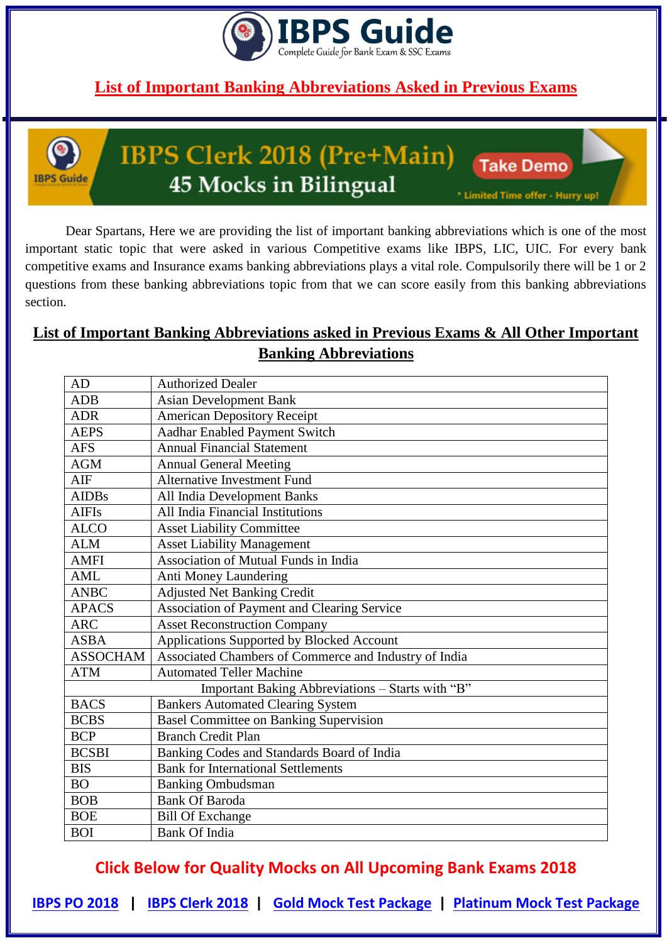



# IBPS Clerk 2018 (Pre+Main) 45 Mocks in Bilingual

**Take Demo** 

\* Limited Time offer - Hurry up!

Dear Spartans, Here we are providing the list of important banking abbreviations which is one of the most important static topic that were asked in various Competitive exams like IBPS, LIC, UIC. For every bank competitive exams and Insurance exams banking abbreviations plays a vital role. Compulsorily there will be 1 or 2 questions from these banking abbreviations topic from that we can score easily from this banking abbreviations section.

#### **List of Important Banking Abbreviations asked in Previous Exams & All Other Important Banking Abbreviations**

| AD              | <b>Authorized Dealer</b>                              |
|-----------------|-------------------------------------------------------|
| <b>ADB</b>      | <b>Asian Development Bank</b>                         |
| <b>ADR</b>      | <b>American Depository Receipt</b>                    |
| <b>AEPS</b>     | Aadhar Enabled Payment Switch                         |
| <b>AFS</b>      | <b>Annual Financial Statement</b>                     |
| <b>AGM</b>      | <b>Annual General Meeting</b>                         |
| AIF             | Alternative Investment Fund                           |
| <b>AIDBs</b>    | All India Development Banks                           |
| <b>AIFIs</b>    | All India Financial Institutions                      |
| <b>ALCO</b>     | <b>Asset Liability Committee</b>                      |
| <b>ALM</b>      | <b>Asset Liability Management</b>                     |
| <b>AMFI</b>     | <b>Association of Mutual Funds in India</b>           |
| <b>AML</b>      | Anti Money Laundering                                 |
| <b>ANBC</b>     | <b>Adjusted Net Banking Credit</b>                    |
| <b>APACS</b>    | Association of Payment and Clearing Service           |
| $\rm{ARC}$      | <b>Asset Reconstruction Company</b>                   |
| <b>ASBA</b>     | Applications Supported by Blocked Account             |
| <b>ASSOCHAM</b> | Associated Chambers of Commerce and Industry of India |
| <b>ATM</b>      | <b>Automated Teller Machine</b>                       |
|                 | Important Baking Abbreviations - Starts with "B"      |
| <b>BACS</b>     | <b>Bankers Automated Clearing System</b>              |
| <b>BCBS</b>     | <b>Basel Committee on Banking Supervision</b>         |
| <b>BCP</b>      | <b>Branch Credit Plan</b>                             |
| <b>BCSBI</b>    | Banking Codes and Standards Board of India            |
| <b>BIS</b>      | <b>Bank for International Settlements</b>             |
| <b>BO</b>       | <b>Banking Ombudsman</b>                              |
| <b>BOB</b>      | <b>Bank Of Baroda</b>                                 |
| <b>BOE</b>      | <b>Bill Of Exchange</b>                               |
| <b>BOI</b>      | <b>Bank Of India</b>                                  |

**Click Below for Quality Mocks on All Upcoming Bank Exams 2018**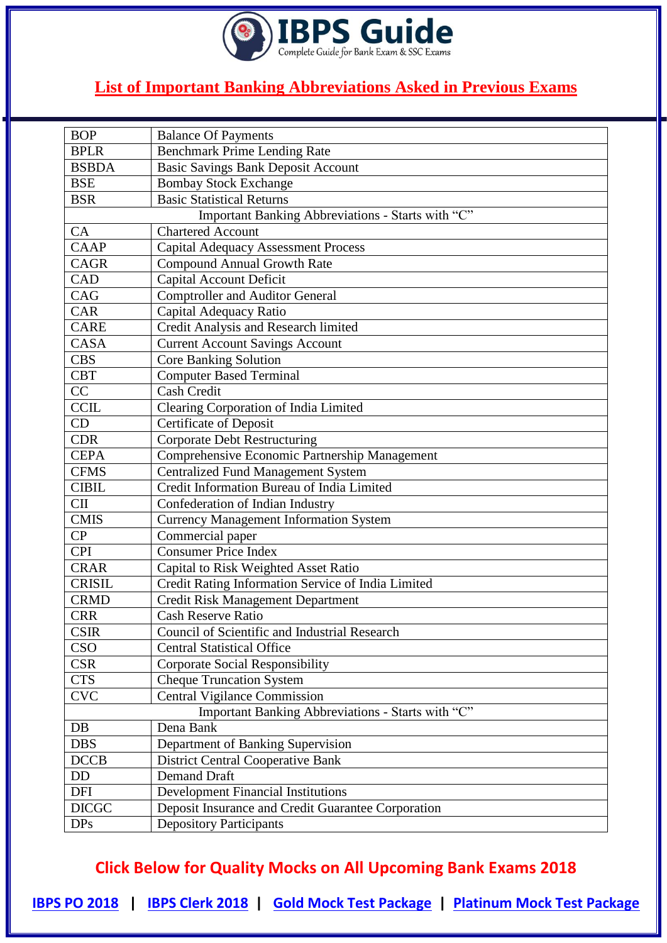

| <b>BOP</b>    | <b>Balance Of Payments</b>                         |
|---------------|----------------------------------------------------|
| <b>BPLR</b>   | <b>Benchmark Prime Lending Rate</b>                |
| <b>BSBDA</b>  | <b>Basic Savings Bank Deposit Account</b>          |
| <b>BSE</b>    | <b>Bombay Stock Exchange</b>                       |
| <b>BSR</b>    | <b>Basic Statistical Returns</b>                   |
|               | Important Banking Abbreviations - Starts with "C"  |
| CA            | <b>Chartered Account</b>                           |
| CAAP          | <b>Capital Adequacy Assessment Process</b>         |
| <b>CAGR</b>   | <b>Compound Annual Growth Rate</b>                 |
| CAD           | <b>Capital Account Deficit</b>                     |
| CAG           | <b>Comptroller and Auditor General</b>             |
| CAR           | Capital Adequacy Ratio                             |
| <b>CARE</b>   | Credit Analysis and Research limited               |
| <b>CASA</b>   | <b>Current Account Savings Account</b>             |
| <b>CBS</b>    | <b>Core Banking Solution</b>                       |
| <b>CBT</b>    | <b>Computer Based Terminal</b>                     |
| CC            | <b>Cash Credit</b>                                 |
| <b>CCIL</b>   | Clearing Corporation of India Limited              |
| CD            | Certificate of Deposit                             |
| <b>CDR</b>    | <b>Corporate Debt Restructuring</b>                |
| <b>CEPA</b>   | Comprehensive Economic Partnership Management      |
| <b>CFMS</b>   | <b>Centralized Fund Management System</b>          |
| <b>CIBIL</b>  | Credit Information Bureau of India Limited         |
| <b>CII</b>    | Confederation of Indian Industry                   |
| <b>CMIS</b>   | <b>Currency Management Information System</b>      |
| CP            | Commercial paper                                   |
| <b>CPI</b>    | <b>Consumer Price Index</b>                        |
| <b>CRAR</b>   | Capital to Risk Weighted Asset Ratio               |
| <b>CRISIL</b> | Credit Rating Information Service of India Limited |
| <b>CRMD</b>   | <b>Credit Risk Management Department</b>           |
| <b>CRR</b>    | Cash Reserve Ratio                                 |
| <b>CSIR</b>   | Council of Scientific and Industrial Research      |
| <b>CSO</b>    | <b>Central Statistical Office</b>                  |
| <b>CSR</b>    | <b>Corporate Social Responsibility</b>             |
| <b>CTS</b>    | <b>Cheque Truncation System</b>                    |
| <b>CVC</b>    | <b>Central Vigilance Commission</b>                |
|               | Important Banking Abbreviations - Starts with "C"  |
| DB            | Dena Bank                                          |
| <b>DBS</b>    | Department of Banking Supervision                  |
| <b>DCCB</b>   | <b>District Central Cooperative Bank</b>           |
| DD            | <b>Demand Draft</b>                                |
| <b>DFI</b>    | <b>Development Financial Institutions</b>          |
| <b>DICGC</b>  | Deposit Insurance and Credit Guarantee Corporation |
| <b>DPs</b>    | <b>Depository Participants</b>                     |

**Click Below for Quality Mocks on All Upcoming Bank Exams 2018**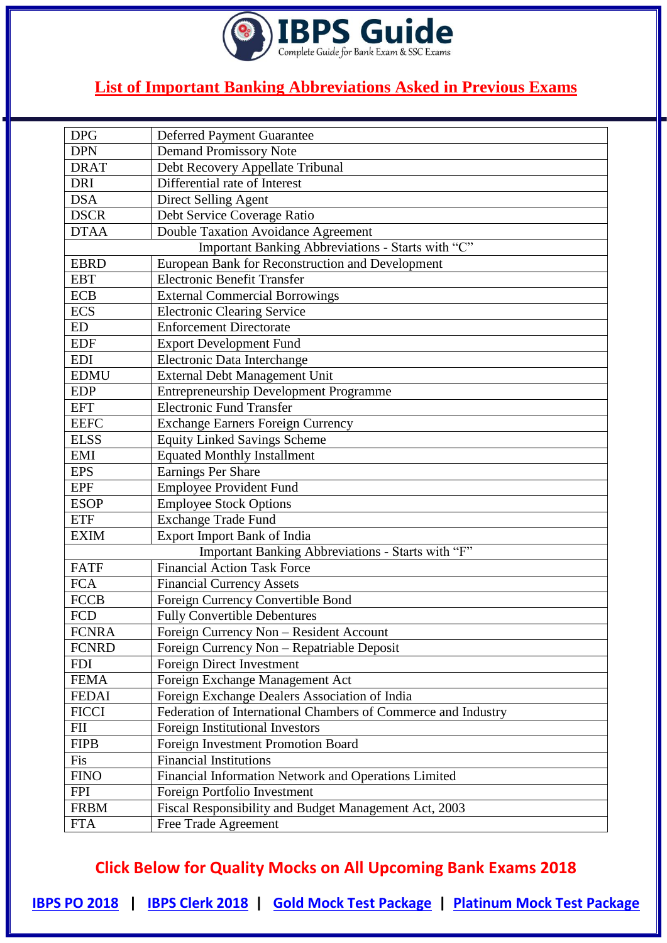

| <b>DPG</b>   | <b>Deferred Payment Guarantee</b>                             |
|--------------|---------------------------------------------------------------|
| <b>DPN</b>   | <b>Demand Promissory Note</b>                                 |
| <b>DRAT</b>  | Debt Recovery Appellate Tribunal                              |
| <b>DRI</b>   | Differential rate of Interest                                 |
| <b>DSA</b>   | Direct Selling Agent                                          |
| <b>DSCR</b>  | Debt Service Coverage Ratio                                   |
| <b>DTAA</b>  | Double Taxation Avoidance Agreement                           |
|              | Important Banking Abbreviations - Starts with "C"             |
| <b>EBRD</b>  | European Bank for Reconstruction and Development              |
| <b>EBT</b>   | <b>Electronic Benefit Transfer</b>                            |
| <b>ECB</b>   | <b>External Commercial Borrowings</b>                         |
| <b>ECS</b>   | <b>Electronic Clearing Service</b>                            |
| ED           | <b>Enforcement Directorate</b>                                |
| <b>EDF</b>   | <b>Export Development Fund</b>                                |
| <b>EDI</b>   | Electronic Data Interchange                                   |
| <b>EDMU</b>  | External Debt Management Unit                                 |
| <b>EDP</b>   | <b>Entrepreneurship Development Programme</b>                 |
| <b>EFT</b>   | <b>Electronic Fund Transfer</b>                               |
| <b>EEFC</b>  | <b>Exchange Earners Foreign Currency</b>                      |
| <b>ELSS</b>  | <b>Equity Linked Savings Scheme</b>                           |
| <b>EMI</b>   | <b>Equated Monthly Installment</b>                            |
| <b>EPS</b>   | Earnings Per Share                                            |
| <b>EPF</b>   | <b>Employee Provident Fund</b>                                |
| <b>ESOP</b>  | <b>Employee Stock Options</b>                                 |
| <b>ETF</b>   | <b>Exchange Trade Fund</b>                                    |
| <b>EXIM</b>  | Export Import Bank of India                                   |
|              | Important Banking Abbreviations - Starts with "F"             |
| <b>FATF</b>  | <b>Financial Action Task Force</b>                            |
| <b>FCA</b>   | <b>Financial Currency Assets</b>                              |
| <b>FCCB</b>  | Foreign Currency Convertible Bond                             |
| <b>FCD</b>   | <b>Fully Convertible Debentures</b>                           |
| <b>FCNRA</b> | Foreign Currency Non - Resident Account                       |
| <b>FCNRD</b> | Foreign Currency Non - Repatriable Deposit                    |
| <b>FDI</b>   | Foreign Direct Investment                                     |
| <b>FEMA</b>  | Foreign Exchange Management Act                               |
| <b>FEDAI</b> | Foreign Exchange Dealers Association of India                 |
| <b>FICCI</b> | Federation of International Chambers of Commerce and Industry |
| <b>FII</b>   | <b>Foreign Institutional Investors</b>                        |
| <b>FIPB</b>  | Foreign Investment Promotion Board                            |
| Fis          | <b>Financial Institutions</b>                                 |
| <b>FINO</b>  | Financial Information Network and Operations Limited          |
| <b>FPI</b>   | Foreign Portfolio Investment                                  |
| <b>FRBM</b>  | Fiscal Responsibility and Budget Management Act, 2003         |
| <b>FTA</b>   | Free Trade Agreement                                          |

**Click Below for Quality Mocks on All Upcoming Bank Exams 2018**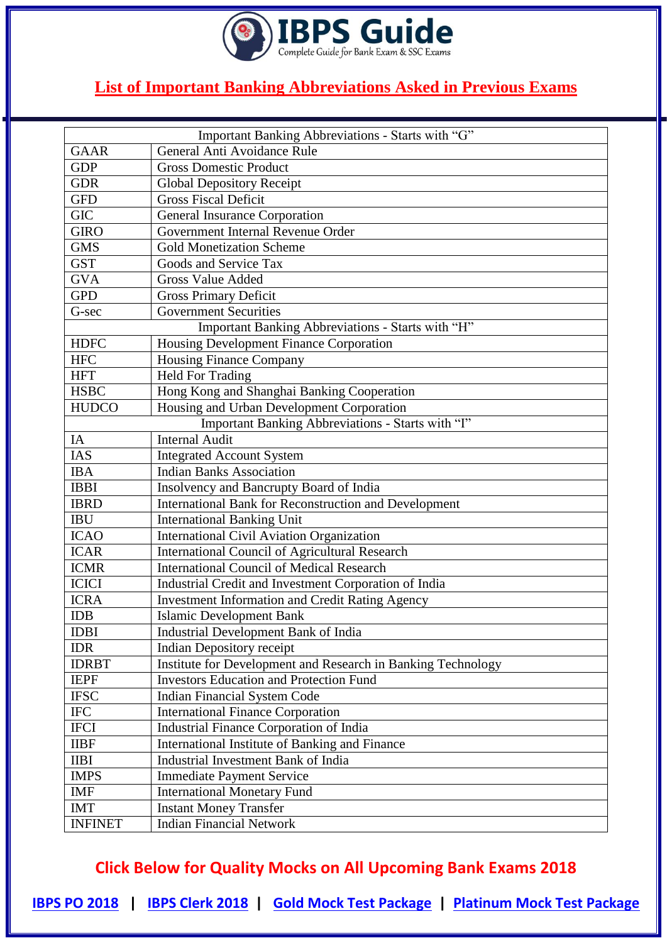

|                | Important Banking Abbreviations - Starts with "G"            |
|----------------|--------------------------------------------------------------|
| <b>GAAR</b>    | General Anti Avoidance Rule                                  |
| <b>GDP</b>     | <b>Gross Domestic Product</b>                                |
| <b>GDR</b>     | <b>Global Depository Receipt</b>                             |
| <b>GFD</b>     | <b>Gross Fiscal Deficit</b>                                  |
| <b>GIC</b>     | <b>General Insurance Corporation</b>                         |
| <b>GIRO</b>    | Government Internal Revenue Order                            |
| <b>GMS</b>     | <b>Gold Monetization Scheme</b>                              |
| <b>GST</b>     | Goods and Service Tax                                        |
| <b>GVA</b>     | <b>Gross Value Added</b>                                     |
| <b>GPD</b>     | <b>Gross Primary Deficit</b>                                 |
| G-sec          | Government Securities                                        |
|                | Important Banking Abbreviations - Starts with "H"            |
| <b>HDFC</b>    | Housing Development Finance Corporation                      |
| <b>HFC</b>     | <b>Housing Finance Company</b>                               |
| <b>HFT</b>     | <b>Held For Trading</b>                                      |
| <b>HSBC</b>    | Hong Kong and Shanghai Banking Cooperation                   |
| <b>HUDCO</b>   | Housing and Urban Development Corporation                    |
|                | Important Banking Abbreviations - Starts with "I"            |
| IA             | <b>Internal Audit</b>                                        |
| IAS            | <b>Integrated Account System</b>                             |
| <b>IBA</b>     | <b>Indian Banks Association</b>                              |
| <b>IBBI</b>    | Insolvency and Bancrupty Board of India                      |
| <b>IBRD</b>    | International Bank for Reconstruction and Development        |
| <b>IBU</b>     | <b>International Banking Unit</b>                            |
| <b>ICAO</b>    | International Civil Aviation Organization                    |
| <b>ICAR</b>    | <b>International Council of Agricultural Research</b>        |
| <b>ICMR</b>    | <b>International Council of Medical Research</b>             |
| <b>ICICI</b>   | Industrial Credit and Investment Corporation of India        |
| <b>ICRA</b>    | <b>Investment Information and Credit Rating Agency</b>       |
| <b>IDB</b>     | <b>Islamic Development Bank</b>                              |
| <b>IDBI</b>    | Industrial Development Bank of India                         |
| <b>IDR</b>     | <b>Indian Depository receipt</b>                             |
| <b>IDRBT</b>   | Institute for Development and Research in Banking Technology |
| <b>IEPF</b>    | <b>Investors Education and Protection Fund</b>               |
| <b>IFSC</b>    | <b>Indian Financial System Code</b>                          |
| <b>IFC</b>     | <b>International Finance Corporation</b>                     |
| <b>IFCI</b>    | <b>Industrial Finance Corporation of India</b>               |
| <b>IIBF</b>    | International Institute of Banking and Finance               |
| <b>IIBI</b>    | Industrial Investment Bank of India                          |
| <b>IMPS</b>    | <b>Immediate Payment Service</b>                             |
| <b>IMF</b>     | <b>International Monetary Fund</b>                           |
| <b>IMT</b>     | <b>Instant Money Transfer</b>                                |
| <b>INFINET</b> | <b>Indian Financial Network</b>                              |

**Click Below for Quality Mocks on All Upcoming Bank Exams 2018**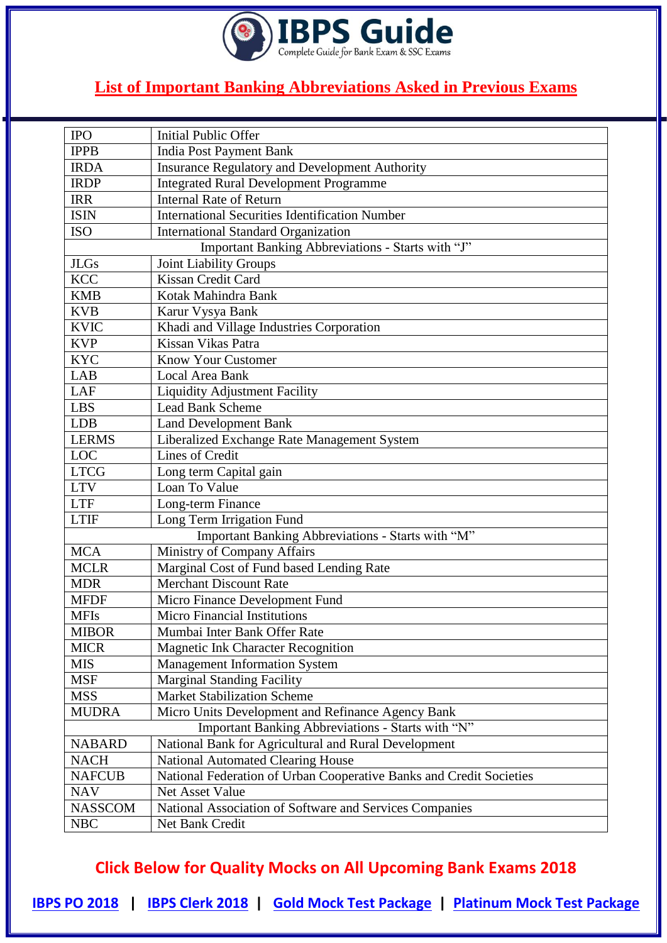

| <b>IPO</b>     | <b>Initial Public Offer</b>                                         |
|----------------|---------------------------------------------------------------------|
| <b>IPPB</b>    | <b>India Post Payment Bank</b>                                      |
| <b>IRDA</b>    | <b>Insurance Regulatory and Development Authority</b>               |
| <b>IRDP</b>    | <b>Integrated Rural Development Programme</b>                       |
| <b>IRR</b>     | <b>Internal Rate of Return</b>                                      |
| <b>ISIN</b>    | <b>International Securities Identification Number</b>               |
| <b>ISO</b>     | <b>International Standard Organization</b>                          |
|                | Important Banking Abbreviations - Starts with "J"                   |
| <b>JLGs</b>    | <b>Joint Liability Groups</b>                                       |
| <b>KCC</b>     | Kissan Credit Card                                                  |
| <b>KMB</b>     | Kotak Mahindra Bank                                                 |
| <b>KVB</b>     | Karur Vysya Bank                                                    |
| <b>KVIC</b>    | Khadi and Village Industries Corporation                            |
| <b>KVP</b>     | Kissan Vikas Patra                                                  |
| <b>KYC</b>     | <b>Know Your Customer</b>                                           |
| <b>LAB</b>     | <b>Local Area Bank</b>                                              |
| LAF            | <b>Liquidity Adjustment Facility</b>                                |
| <b>LBS</b>     | <b>Lead Bank Scheme</b>                                             |
| LDB            | <b>Land Development Bank</b>                                        |
| <b>LERMS</b>   | Liberalized Exchange Rate Management System                         |
| LOC            | Lines of Credit                                                     |
| <b>LTCG</b>    | Long term Capital gain                                              |
| <b>LTV</b>     | Loan To Value                                                       |
| <b>LTF</b>     | Long-term Finance                                                   |
| <b>LTIF</b>    | Long Term Irrigation Fund                                           |
|                | Important Banking Abbreviations - Starts with "M"                   |
| <b>MCA</b>     | Ministry of Company Affairs                                         |
| <b>MCLR</b>    | Marginal Cost of Fund based Lending Rate                            |
| <b>MDR</b>     | <b>Merchant Discount Rate</b>                                       |
| <b>MFDF</b>    | Micro Finance Development Fund                                      |
| <b>MFIs</b>    | <b>Micro Financial Institutions</b>                                 |
| <b>MIBOR</b>   | Mumbai Inter Bank Offer Rate                                        |
| <b>MICR</b>    | <b>Magnetic Ink Character Recognition</b>                           |
| <b>MIS</b>     | <b>Management Information System</b>                                |
| <b>MSF</b>     | <b>Marginal Standing Facility</b>                                   |
| <b>MSS</b>     | <b>Market Stabilization Scheme</b>                                  |
| <b>MUDRA</b>   | Micro Units Development and Refinance Agency Bank                   |
|                | Important Banking Abbreviations - Starts with "N"                   |
| <b>NABARD</b>  | National Bank for Agricultural and Rural Development                |
| <b>NACH</b>    | <b>National Automated Clearing House</b>                            |
| <b>NAFCUB</b>  | National Federation of Urban Cooperative Banks and Credit Societies |
| <b>NAV</b>     | Net Asset Value                                                     |
| <b>NASSCOM</b> | National Association of Software and Services Companies             |
| <b>NBC</b>     | Net Bank Credit                                                     |

**Click Below for Quality Mocks on All Upcoming Bank Exams 2018**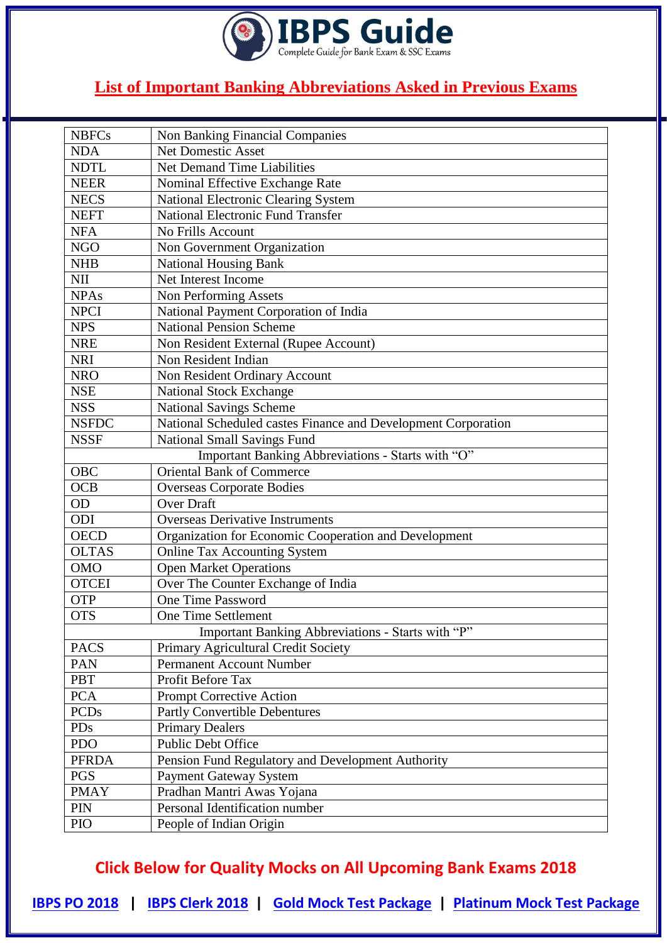

| <b>NBFCs</b> | Non Banking Financial Companies                               |
|--------------|---------------------------------------------------------------|
| <b>NDA</b>   | <b>Net Domestic Asset</b>                                     |
| <b>NDTL</b>  | <b>Net Demand Time Liabilities</b>                            |
| <b>NEER</b>  | Nominal Effective Exchange Rate                               |
| <b>NECS</b>  | National Electronic Clearing System                           |
| <b>NEFT</b>  | <b>National Electronic Fund Transfer</b>                      |
| <b>NFA</b>   | No Frills Account                                             |
| <b>NGO</b>   | Non Government Organization                                   |
| <b>NHB</b>   | <b>National Housing Bank</b>                                  |
| <b>NII</b>   | Net Interest Income                                           |
| <b>NPAs</b>  | Non Performing Assets                                         |
| <b>NPCI</b>  | National Payment Corporation of India                         |
| <b>NPS</b>   | <b>National Pension Scheme</b>                                |
| <b>NRE</b>   | Non Resident External (Rupee Account)                         |
| <b>NRI</b>   | Non Resident Indian                                           |
| <b>NRO</b>   | Non Resident Ordinary Account                                 |
| <b>NSE</b>   | <b>National Stock Exchange</b>                                |
| <b>NSS</b>   | <b>National Savings Scheme</b>                                |
| <b>NSFDC</b> | National Scheduled castes Finance and Development Corporation |
| <b>NSSF</b>  | <b>National Small Savings Fund</b>                            |
|              | Important Banking Abbreviations - Starts with "O"             |
| <b>OBC</b>   | Oriental Bank of Commerce                                     |
| <b>OCB</b>   | <b>Overseas Corporate Bodies</b>                              |
| <b>OD</b>    | <b>Over Draft</b>                                             |
| ODI          | <b>Overseas Derivative Instruments</b>                        |
| <b>OECD</b>  | Organization for Economic Cooperation and Development         |
| <b>OLTAS</b> | <b>Online Tax Accounting System</b>                           |
| <b>OMO</b>   | <b>Open Market Operations</b>                                 |
| <b>OTCEI</b> | Over The Counter Exchange of India                            |
| <b>OTP</b>   | One Time Password                                             |
| <b>OTS</b>   | One Time Settlement                                           |
|              | Important Banking Abbreviations - Starts with "P"             |
| <b>PACS</b>  | Primary Agricultural Credit Society                           |
| PAN          | <b>Permanent Account Number</b>                               |
| <b>PBT</b>   | Profit Before Tax                                             |
| <b>PCA</b>   | <b>Prompt Corrective Action</b>                               |
| <b>PCDs</b>  | Partly Convertible Debentures                                 |
| PDs          | <b>Primary Dealers</b>                                        |
| <b>PDO</b>   | <b>Public Debt Office</b>                                     |
| <b>PFRDA</b> | Pension Fund Regulatory and Development Authority             |
| <b>PGS</b>   | <b>Payment Gateway System</b>                                 |
| <b>PMAY</b>  | Pradhan Mantri Awas Yojana                                    |
| PIN          | Personal Identification number                                |
| PIO          | People of Indian Origin                                       |
|              |                                                               |

**Click Below for Quality Mocks on All Upcoming Bank Exams 2018**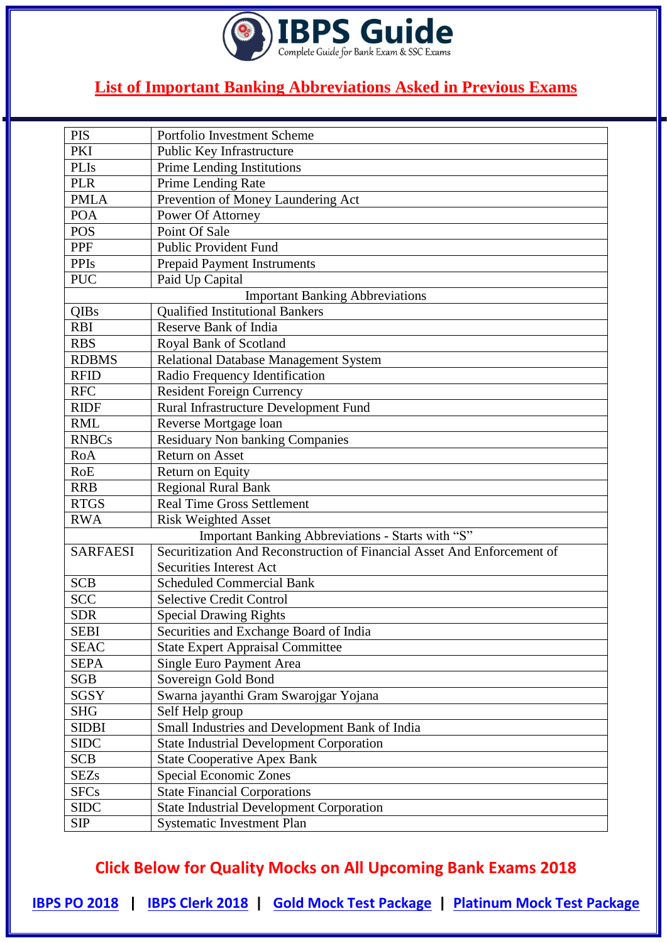

| <b>PIS</b>      | Portfolio Investment Scheme                                             |
|-----------------|-------------------------------------------------------------------------|
| PKI             | Public Key Infrastructure                                               |
| <b>PLIs</b>     | Prime Lending Institutions                                              |
| <b>PLR</b>      | Prime Lending Rate                                                      |
| <b>PMLA</b>     | Prevention of Money Laundering Act                                      |
| <b>POA</b>      | Power Of Attorney                                                       |
| <b>POS</b>      | Point Of Sale                                                           |
| PPF             | <b>Public Provident Fund</b>                                            |
| <b>PPIs</b>     | <b>Prepaid Payment Instruments</b>                                      |
| <b>PUC</b>      | Paid Up Capital                                                         |
|                 | <b>Important Banking Abbreviations</b>                                  |
| QIBs            | <b>Qualified Institutional Bankers</b>                                  |
| <b>RBI</b>      | <b>Reserve Bank of India</b>                                            |
| <b>RBS</b>      | Royal Bank of Scotland                                                  |
| <b>RDBMS</b>    | Relational Database Management System                                   |
| <b>RFID</b>     | Radio Frequency Identification                                          |
| <b>RFC</b>      | <b>Resident Foreign Currency</b>                                        |
| <b>RIDF</b>     | Rural Infrastructure Development Fund                                   |
| <b>RML</b>      | Reverse Mortgage loan                                                   |
| <b>RNBCs</b>    | <b>Residuary Non banking Companies</b>                                  |
| RoA             | <b>Return on Asset</b>                                                  |
| <b>RoE</b>      | Return on Equity                                                        |
| <b>RRB</b>      | <b>Regional Rural Bank</b>                                              |
| <b>RTGS</b>     | <b>Real Time Gross Settlement</b>                                       |
| <b>RWA</b>      | <b>Risk Weighted Asset</b>                                              |
|                 | Important Banking Abbreviations - Starts with "S"                       |
| <b>SARFAESI</b> | Securitization And Reconstruction of Financial Asset And Enforcement of |
|                 | <b>Securities Interest Act</b>                                          |
| <b>SCB</b>      | <b>Scheduled Commercial Bank</b>                                        |
| <b>SCC</b>      | <b>Selective Credit Control</b>                                         |
| <b>SDR</b>      | <b>Special Drawing Rights</b>                                           |
| <b>SEBI</b>     | Securities and Exchange Board of India                                  |
| <b>SEAC</b>     | <b>State Expert Appraisal Committee</b>                                 |
| <b>SEPA</b>     | Single Euro Payment Area                                                |
| <b>SGB</b>      | Sovereign Gold Bond                                                     |
| SGSY            | Swarna jayanthi Gram Swarojgar Yojana                                   |
| <b>SHG</b>      | Self Help group                                                         |
| <b>SIDBI</b>    | Small Industries and Development Bank of India                          |
| <b>SIDC</b>     | <b>State Industrial Development Corporation</b>                         |
| <b>SCB</b>      | <b>State Cooperative Apex Bank</b>                                      |
| <b>SEZs</b>     | Special Economic Zones                                                  |
| <b>SFCs</b>     | <b>State Financial Corporations</b>                                     |
| <b>SIDC</b>     | <b>State Industrial Development Corporation</b>                         |
| <b>SIP</b>      | <b>Systematic Investment Plan</b>                                       |

**Click Below for Quality Mocks on All Upcoming Bank Exams 2018**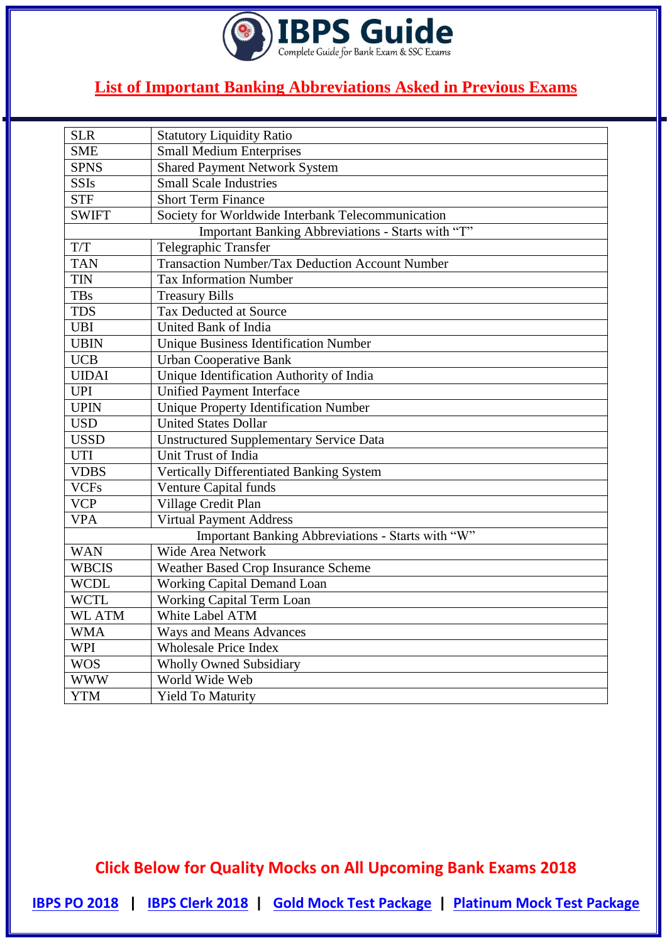

| <b>SLR</b>    | <b>Statutory Liquidity Ratio</b>                       |
|---------------|--------------------------------------------------------|
| <b>SME</b>    | <b>Small Medium Enterprises</b>                        |
| <b>SPNS</b>   | <b>Shared Payment Network System</b>                   |
| <b>SSIs</b>   | <b>Small Scale Industries</b>                          |
| <b>STF</b>    | <b>Short Term Finance</b>                              |
| <b>SWIFT</b>  | Society for Worldwide Interbank Telecommunication      |
|               | Important Banking Abbreviations - Starts with "T"      |
| T/T           | Telegraphic Transfer                                   |
| <b>TAN</b>    | <b>Transaction Number/Tax Deduction Account Number</b> |
| <b>TIN</b>    | <b>Tax Information Number</b>                          |
| <b>TBs</b>    | <b>Treasury Bills</b>                                  |
| <b>TDS</b>    | Tax Deducted at Source                                 |
| <b>UBI</b>    | United Bank of India                                   |
| <b>UBIN</b>   | <b>Unique Business Identification Number</b>           |
| <b>UCB</b>    | <b>Urban Cooperative Bank</b>                          |
| <b>UIDAI</b>  | Unique Identification Authority of India               |
| <b>UPI</b>    | <b>Unified Payment Interface</b>                       |
| <b>UPIN</b>   | <b>Unique Property Identification Number</b>           |
| <b>USD</b>    | <b>United States Dollar</b>                            |
| <b>USSD</b>   | Unstructured Supplementary Service Data                |
| <b>UTI</b>    | Unit Trust of India                                    |
| <b>VDBS</b>   | Vertically Differentiated Banking System               |
| <b>VCFs</b>   | <b>Venture Capital funds</b>                           |
| <b>VCP</b>    | Village Credit Plan                                    |
| <b>VPA</b>    | Virtual Payment Address                                |
|               | Important Banking Abbreviations - Starts with "W"      |
| <b>WAN</b>    | <b>Wide Area Network</b>                               |
| <b>WBCIS</b>  | Weather Based Crop Insurance Scheme                    |
| <b>WCDL</b>   | <b>Working Capital Demand Loan</b>                     |
| <b>WCTL</b>   | Working Capital Term Loan                              |
| <b>WL ATM</b> | White Label ATM                                        |
| <b>WMA</b>    | <b>Ways and Means Advances</b>                         |
| <b>WPI</b>    | <b>Wholesale Price Index</b>                           |
| <b>WOS</b>    | <b>Wholly Owned Subsidiary</b>                         |
| <b>WWW</b>    | World Wide Web                                         |
| <b>YTM</b>    | <b>Yield To Maturity</b>                               |

**Click Below for Quality Mocks on All Upcoming Bank Exams 2018**